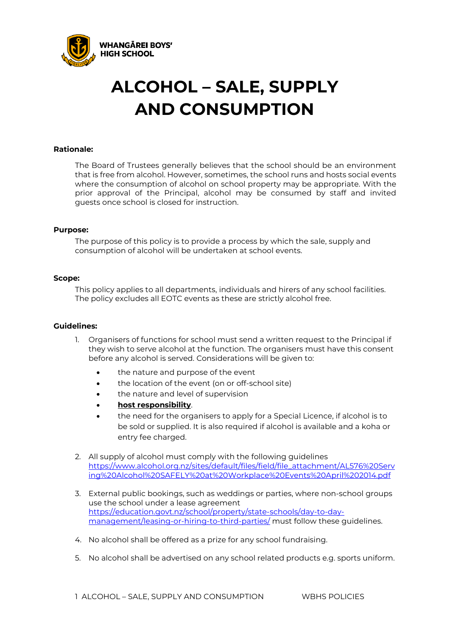

# **ALCOHOL – SALE, SUPPLY AND CONSUMPTION**

### **Rationale:**

The Board of Trustees generally believes that the school should be an environment that is free from alcohol. However, sometimes, the school runs and hosts social events where the consumption of alcohol on school property may be appropriate. With the prior approval of the Principal, alcohol may be consumed by staff and invited guests once school is closed for instruction.

#### **Purpose:**

The purpose of this policy is to provide a process by which the sale, supply and consumption of alcohol will be undertaken at school events.

### **Scope:**

This policy applies to all departments, individuals and hirers of any school facilities. The policy excludes all EOTC events as these are strictly alcohol free.

#### **Guidelines:**

- 1. Organisers of functions for school must send a written request to the Principal if they wish to serve alcohol at the function. The organisers must have this consent before any alcohol is served. Considerations will be given to:
	- the nature and purpose of the event
	- the location of the event (on or off-school site)
	- the nature and level of supervision
	- **[host responsibility](http://tikipungahigh.schooldocs.co.nz/2195.htm)**.
	- the need for the organisers to apply for a Special Licence, if alcohol is to be sold or supplied. It is also required if alcohol is available and a koha or entry fee charged.
- 2. All supply of alcohol must comply with the following guidelines [https://www.alcohol.org.nz/sites/default/files/field/file\\_attachment/AL576%20Serv](https://www.alcohol.org.nz/sites/default/files/field/file_attachment/AL576%20Serving%20Alcohol%20SAFELY%20at%20Workplace%20Events%20April%202014.pdf) [ing%20Alcohol%20SAFELY%20at%20Workplace%20Events%20April%202014.pdf](https://www.alcohol.org.nz/sites/default/files/field/file_attachment/AL576%20Serving%20Alcohol%20SAFELY%20at%20Workplace%20Events%20April%202014.pdf)
- 3. External public bookings, such as weddings or parties, where non-school groups use the school under a lease agreement [https://education.govt.nz/school/property/state-schools/day-to-day](https://education.govt.nz/school/property/state-schools/day-to-day-management/leasing-or-hiring-to-third-parties/)[management/leasing-or-hiring-to-third-parties/](https://education.govt.nz/school/property/state-schools/day-to-day-management/leasing-or-hiring-to-third-parties/) must follow these guidelines.
- 4. No alcohol shall be offered as a prize for any school fundraising.
- 5. No alcohol shall be advertised on any school related products e.g. sports uniform.